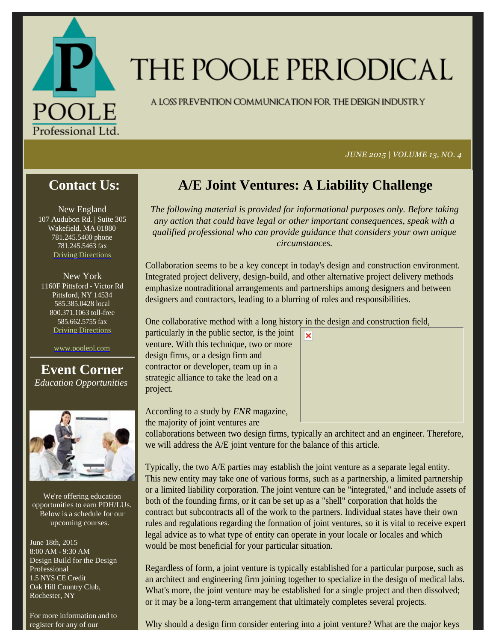

# THE POOLE PERIODICAL

A LOSS PREVENTION COMMUNICATION FOR THE DESIGN INDUSTRY

*JUNE 2015 | VOLUME 13, NO. 4*

#### **Contact Us:**

New England 107 Audubon Rd. | Suite 305 Wakefield, MA 01880 781.245.5400 phone 781.245.5463 fax Driving Directions

New York 1160F Pittsford - Victor Rd Pittsford, NY 14534 585.385.0428 local 800.371.1063 toll-free 585.662.5755 fax Driving Directions

www.poolepl.com

**Event Corner** *Education Opportunities*



We're offering education opportunities to earn PDH/LUs. Below is a schedule for our upcoming courses.

June 18th, 2015 8:00 AM - 9:30 AM Design Build for the Design Professional 1.5 NYS CE Credit Oak Hill Country Club, Rochester, NY

For more information and to register for any of our

## **A/E Joint Ventures: A Liability Challenge**

*The following material is provided for informational purposes only. Before taking any action that could have legal or other important consequences, speak with a qualified professional who can provide guidance that considers your own unique circumstances.*

Collaboration seems to be a key concept in today's design and construction environment. Integrated project delivery, design-build, and other alternative project delivery methods emphasize nontraditional arrangements and partnerships among designers and between designers and contractors, leading to a blurring of roles and responsibilities.

 $\overline{\mathbf{x}}$ 

One collaborative method with a long history in the design and construction field,

particularly in the public sector, is the joint venture. With this technique, two or more design firms, or a design firm and contractor or developer, team up in a strategic alliance to take the lead on a project.

According to a study by *ENR* magazine, the majority of joint ventures are

collaborations between two design firms, typically an architect and an engineer. Therefore, we will address the A/E joint venture for the balance of this article.

Typically, the two A/E parties may establish the joint venture as a separate legal entity. This new entity may take one of various forms, such as a partnership, a limited partnership or a limited liability corporation. The joint venture can be "integrated," and include assets of both of the founding firms, or it can be set up as a "shell" corporation that holds the contract but subcontracts all of the work to the partners. Individual states have their own rules and regulations regarding the formation of joint ventures, so it is vital to receive expert legal advice as to what type of entity can operate in your locale or locales and which would be most beneficial for your particular situation.

Regardless of form, a joint venture is typically established for a particular purpose, such as an architect and engineering firm joining together to specialize in the design of medical labs. What's more, the joint venture may be established for a single project and then dissolved; or it may be a long-term arrangement that ultimately completes several projects.

Why should a design firm consider entering into a joint venture? What are the major keys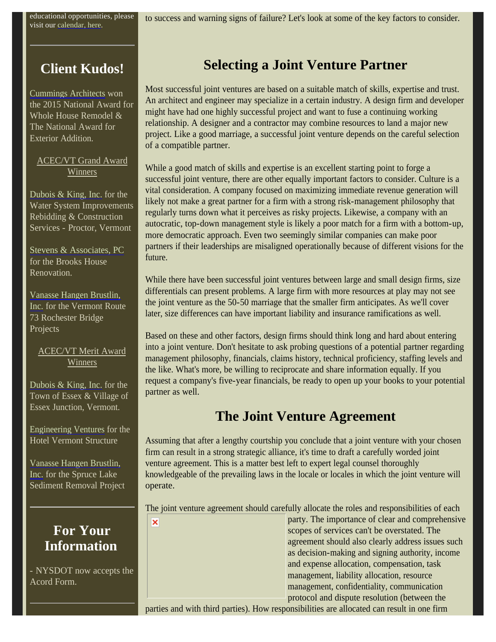educational opportunities, please visit our calendar, here.

to success and warning signs of failure? Let's look at some of the key factors to consider.

### **Client Kudos!**

Cummings Architects won the 2015 National Award for Whole House Remodel & The National Award for Exterior Addition.

ACEC/VT Grand Award Winners

Dubois  $\&$  King, Inc. for the Water System Improvements Rebidding & Construction Services - Proctor, Vermont

Stevens & Associates, PC for the Brooks House Renovation.

Vanasse Hangen Brustlin, Inc. for the Vermont Route 73 Rochester Bridge Projects

#### ACEC/VT Merit Award Winners

Dubois & King, Inc. for the Town of Essex & Village of Essex Junction, Vermont.

Engineering Ventures for the Hotel Vermont Structure

Vanasse Hangen Brustlin, Inc. for the Spruce Lake Sediment Removal Project

### **For Your Information**

- NYSDOT now accepts the Acord Form.

## **Selecting a Joint Venture Partner**

Most successful joint ventures are based on a suitable match of skills, expertise and trust. An architect and engineer may specialize in a certain industry. A design firm and developer might have had one highly successful project and want to fuse a continuing working relationship. A designer and a contractor may combine resources to land a major new project. Like a good marriage, a successful joint venture depends on the careful selection of a compatible partner.

While a good match of skills and expertise is an excellent starting point to forge a successful joint venture, there are other equally important factors to consider. Culture is a vital consideration. A company focused on maximizing immediate revenue generation will likely not make a great partner for a firm with a strong risk-management philosophy that regularly turns down what it perceives as risky projects. Likewise, a company with an autocratic, top-down management style is likely a poor match for a firm with a bottom-up, more democratic approach. Even two seemingly similar companies can make poor partners if their leaderships are misaligned operationally because of different visions for the future.

While there have been successful joint ventures between large and small design firms, size differentials can present problems. A large firm with more resources at play may not see the joint venture as the 50-50 marriage that the smaller firm anticipates. As we'll cover later, size differences can have important liability and insurance ramifications as well.

Based on these and other factors, design firms should think long and hard about entering into a joint venture. Don't hesitate to ask probing questions of a potential partner regarding management philosophy, financials, claims history, technical proficiency, staffing levels and the like. What's more, be willing to reciprocate and share information equally. If you request a company's five-year financials, be ready to open up your books to your potential partner as well.

#### **The Joint Venture Agreement**

Assuming that after a lengthy courtship you conclude that a joint venture with your chosen firm can result in a strong strategic alliance, it's time to draft a carefully worded joint venture agreement. This is a matter best left to expert legal counsel thoroughly knowledgeable of the prevailing laws in the locale or locales in which the joint venture will operate.

The joint venture agreement should carefully allocate the roles and responsibilities of each

×

party. The importance of clear and comprehensive scopes of services can't be overstated. The agreement should also clearly address issues such as decision-making and signing authority, income and expense allocation, compensation, task management, liability allocation, resource management, confidentiality, communication protocol and dispute resolution (between the

parties and with third parties). How responsibilities are allocated can result in one firm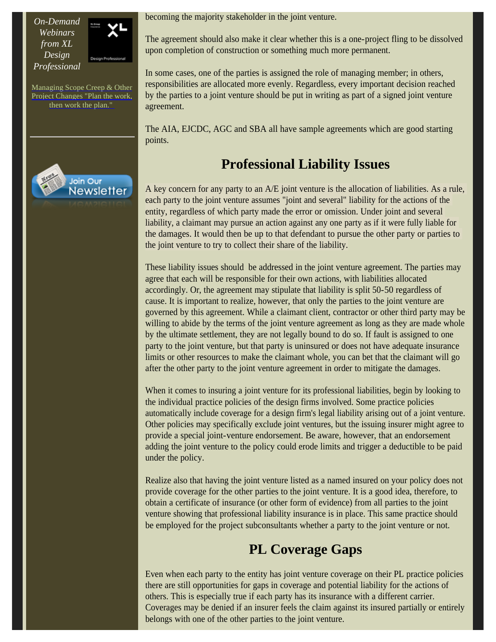*On-Demand Webinars from XL Design Professional*



Managing Scope Creep & Other Project Changes "Plan the work, then work the plan."



becoming the majority stakeholder in the joint venture.

The agreement should also make it clear whether this is a one-project fling to be dissolved upon completion of construction or something much more permanent.

In some cases, one of the parties is assigned the role of managing member; in others, responsibilities are allocated more evenly. Regardless, every important decision reached by the parties to a joint venture should be put in writing as part of a signed joint venture agreement.

The AIA, EJCDC, AGC and SBA all have sample agreements which are good starting points.

#### **Professional Liability Issues**

A key concern for any party to an A/E joint venture is the allocation of liabilities. As a rule, each party to the joint venture assumes "joint and several" liability for the actions of the entity, regardless of which party made the error or omission. Under joint and several liability, a claimant may pursue an action against any one party as if it were fully liable for the damages. It would then be up to that defendant to pursue the other party or parties to the joint venture to try to collect their share of the liability.

These liability issues should be addressed in the joint venture agreement. The parties may agree that each will be responsible for their own actions, with liabilities allocated accordingly. Or, the agreement may stipulate that liability is split 50-50 regardless of cause. It is important to realize, however, that only the parties to the joint venture are governed by this agreement. While a claimant client, contractor or other third party may be willing to abide by the terms of the joint venture agreement as long as they are made whole by the ultimate settlement, they are not legally bound to do so. If fault is assigned to one party to the joint venture, but that party is uninsured or does not have adequate insurance limits or other resources to make the claimant whole, you can bet that the claimant will go after the other party to the joint venture agreement in order to mitigate the damages.

When it comes to insuring a joint venture for its professional liabilities, begin by looking to the individual practice policies of the design firms involved. Some practice policies automatically include coverage for a design firm's legal liability arising out of a joint venture. Other policies may specifically exclude joint ventures, but the issuing insurer might agree to provide a special joint-venture endorsement. Be aware, however, that an endorsement adding the joint venture to the policy could erode limits and trigger a deductible to be paid under the policy.

Realize also that having the joint venture listed as a named insured on your policy does not provide coverage for the other parties to the joint venture. It is a good idea, therefore, to obtain a certificate of insurance (or other form of evidence) from all parties to the joint venture showing that professional liability insurance is in place. This same practice should be employed for the project subconsultants whether a party to the joint venture or not.

### **PL Coverage Gaps**

Even when each party to the entity has joint venture coverage on their PL practice policies there are still opportunities for gaps in coverage and potential liability for the actions of others. This is especially true if each party has its insurance with a different carrier. Coverages may be denied if an insurer feels the claim against its insured partially or entirely belongs with one of the other parties to the joint venture.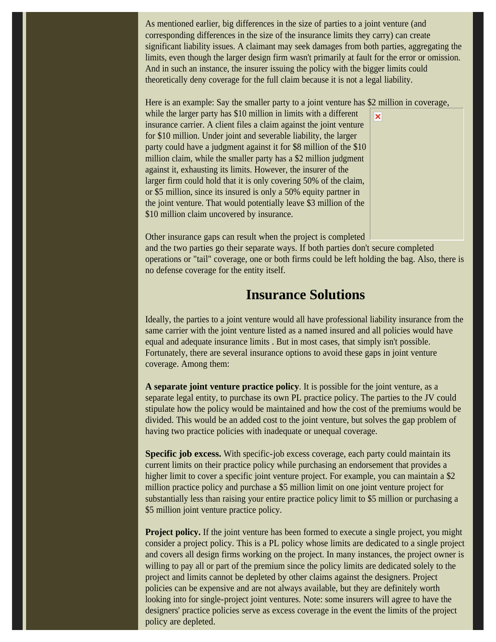As mentioned earlier, big differences in the size of parties to a joint venture (and corresponding differences in the size of the insurance limits they carry) can create significant liability issues. A claimant may seek damages from both parties, aggregating the limits, even though the larger design firm wasn't primarily at fault for the error or omission. And in such an instance, the insurer issuing the policy with the bigger limits could theoretically deny coverage for the full claim because it is not a legal liability.

Here is an example: Say the smaller party to a joint venture has \$2 million in coverage,

while the larger party has \$10 million in limits with a different insurance carrier. A client files a claim against the joint venture for \$10 million. Under joint and severable liability, the larger party could have a judgment against it for \$8 million of the \$10 million claim, while the smaller party has a \$2 million judgment against it, exhausting its limits. However, the insurer of the larger firm could hold that it is only covering 50% of the claim, or \$5 million, since its insured is only a 50% equity partner in the joint venture. That would potentially leave \$3 million of the \$10 million claim uncovered by insurance.



Other insurance gaps can result when the project is completed

and the two parties go their separate ways. If both parties don't secure completed operations or "tail" coverage, one or both firms could be left holding the bag. Also, there is no defense coverage for the entity itself.

#### **Insurance Solutions**

Ideally, the parties to a joint venture would all have professional liability insurance from the same carrier with the joint venture listed as a named insured and all policies would have equal and adequate insurance limits . But in most cases, that simply isn't possible. Fortunately, there are several insurance options to avoid these gaps in joint venture coverage. Among them:

**A separate joint venture practice policy**. It is possible for the joint venture, as a separate legal entity, to purchase its own PL practice policy. The parties to the JV could stipulate how the policy would be maintained and how the cost of the premiums would be divided. This would be an added cost to the joint venture, but solves the gap problem of having two practice policies with inadequate or unequal coverage.

**Specific job excess.** With specific-job excess coverage, each party could maintain its current limits on their practice policy while purchasing an endorsement that provides a higher limit to cover a specific joint venture project. For example, you can maintain a \$2 million practice policy and purchase a \$5 million limit on one joint venture project for substantially less than raising your entire practice policy limit to \$5 million or purchasing a \$5 million joint venture practice policy.

**Project policy.** If the joint venture has been formed to execute a single project, you might consider a project policy. This is a PL policy whose limits are dedicated to a single project and covers all design firms working on the project. In many instances, the project owner is willing to pay all or part of the premium since the policy limits are dedicated solely to the project and limits cannot be depleted by other claims against the designers. Project policies can be expensive and are not always available, but they are definitely worth looking into for single-project joint ventures. Note: some insurers will agree to have the designers' practice policies serve as excess coverage in the event the limits of the project policy are depleted.